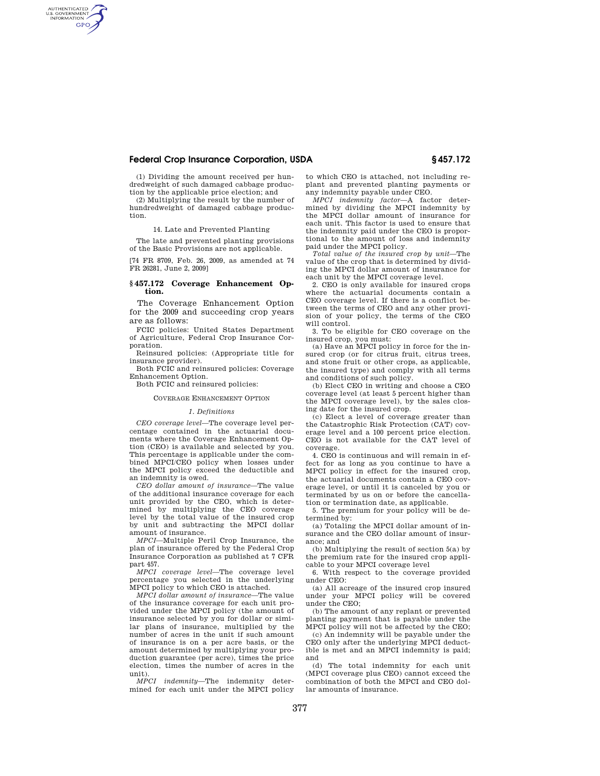# **Federal Crop Insurance Corporation, USDA § 457.172**

(1) Dividing the amount received per hundredweight of such damaged cabbage production by the applicable price election; and

AUTHENTICATED<br>U.S. GOVERNMENT<br>INFORMATION **GPO** 

> (2) Multiplying the result by the number of hundredweight of damaged cabbage production.

> > 14. Late and Prevented Planting

The late and prevented planting provisions of the Basic Provisions are not applicable.

[74 FR 8709, Feb. 26, 2009, as amended at 74 FR 26281, June 2, 2009]

## **§ 457.172 Coverage Enhancement Option.**

The Coverage Enhancement Option for the 2009 and succeeding crop years are as follows:

FCIC policies: United States Department of Agriculture, Federal Crop Insurance Corporation.

Reinsured policies: (Appropriate title for insurance provider).

Both FCIC and reinsured policies: Coverage Enhancement Option.

Both FCIC and reinsured policies:

## COVERAGE ENHANCEMENT OPTION

### *1. Definitions*

*CEO coverage level*—The coverage level percentage contained in the actuarial documents where the Coverage Enhancement Option (CEO) is available and selected by you. This percentage is applicable under the combined MPCI/CEO policy when losses under the MPCI policy exceed the deductible and an indemnity is owed.

*CEO dollar amount of insurance*—The value of the additional insurance coverage for each unit provided by the CEO, which is determined by multiplying the CEO coverage level by the total value of the insured crop by unit and subtracting the MPCI dollar amount of insurance.

*MPCI*—Multiple Peril Crop Insurance, the plan of insurance offered by the Federal Crop Insurance Corporation as published at 7 CFR part 457.

*MPCI coverage level*—The coverage level percentage you selected in the underlying MPCI policy to which CEO is attached.

*MPCI dollar amount of insurance*—The value of the insurance coverage for each unit provided under the MPCI policy (the amount of insurance selected by you for dollar or similar plans of insurance, multiplied by the number of acres in the unit if such amount of insurance is on a per acre basis, or the amount determined by multiplying your production guarantee (per acre), times the price election, times the number of acres in the unit).

*MPCI indemnity*—The indemnity determined for each unit under the MPCI policy to which CEO is attached, not including replant and prevented planting payments or any indemnity payable under CEO.

*MPCI indemnity factor*—A factor determined by dividing the MPCI indemnity by the MPCI dollar amount of insurance for each unit. This factor is used to ensure that the indemnity paid under the CEO is proportional to the amount of loss and indemnity paid under the MPCI policy.

*Total value of the insured crop by unit*—The value of the crop that is determined by dividing the MPCI dollar amount of insurance for each unit by the MPCI coverage level.

2. CEO is only available for insured crops where the actuarial documents contain a CEO coverage level. If there is a conflict between the terms of CEO and any other provision of your policy, the terms of the CEO will control.

3. To be eligible for CEO coverage on the insured crop, you must:

(a) Have an MPCI policy in force for the insured crop (or for citrus fruit, citrus trees, and stone fruit or other crops, as applicable, the insured type) and comply with all terms and conditions of such policy.

(b) Elect CEO in writing and choose a CEO coverage level (at least 5 percent higher than the MPCI coverage level), by the sales closing date for the insured crop.

(c) Elect a level of coverage greater than the Catastrophic Risk Protection (CAT) coverage level and a 100 percent price election. CEO is not available for the CAT level of coverage.

4. CEO is continuous and will remain in effect for as long as you continue to have a MPCI policy in effect for the insured crop, the actuarial documents contain a CEO coverage level, or until it is canceled by you or terminated by us on or before the cancellation or termination date, as applicable.

5. The premium for your policy will be determined by:

(a) Totaling the MPCI dollar amount of insurance and the CEO dollar amount of insurance; and

(b) Multiplying the result of section 5(a) by the premium rate for the insured crop applicable to your MPCI coverage level

6. With respect to the coverage provided under CEO:

(a) All acreage of the insured crop insured under your MPCI policy will be covered under the CEO;

(b) The amount of any replant or prevented planting payment that is payable under the MPCI policy will not be affected by the CEO;

(c) An indemnity will be payable under the CEO only after the underlying MPCI deductible is met and an MPCI indemnity is paid; and

(d) The total indemnity for each unit (MPCI coverage plus CEO) cannot exceed the combination of both the MPCI and CEO dollar amounts of insurance.